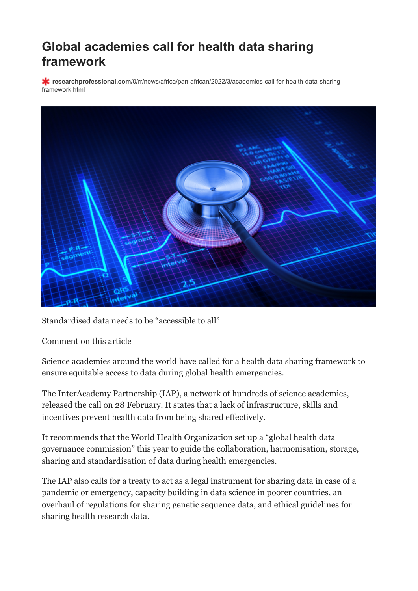## **Global academies call for health data sharing framework**

**researchprofessional.com**[/0/rr/news/africa/pan-african/2022/3/academies-call-for-health-data-sharing](https://www.researchprofessional.com/0/rr/news/africa/pan-african/2022/3/academies-call-for-health-data-sharing-framework.html)framework.html



Standardised data needs to be "accessible to all"

[Comment on this article](#page-1-0)

Science academies around the world have called for a health data sharing framework to ensure equitable access to data during global health emergencies.

The InterAcademy Partnership (IAP), a network of hundreds of science academies, released the call on 28 February. It states that a lack of infrastructure, skills and incentives prevent health data from being shared effectively.

It recommends that the World Health Organization set up a "global health data governance commission" this year to guide the collaboration, harmonisation, storage, sharing and standardisation of data during health emergencies.

The IAP also calls for a treaty to act as a legal instrument for sharing data in case of a pandemic or emergency, capacity building in data science in poorer countries, an overhaul of regulations for sharing genetic sequence data, and ethical guidelines for sharing health research data.